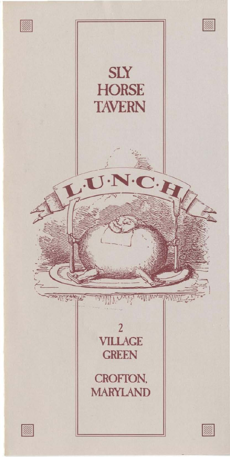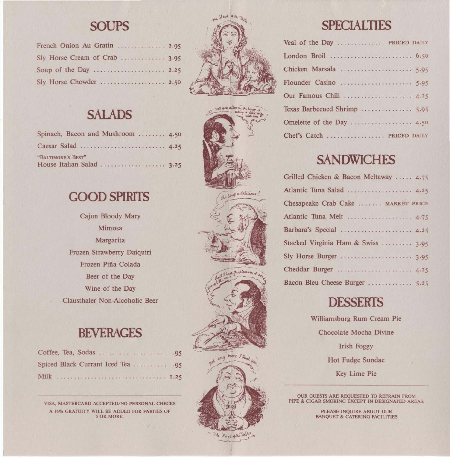### **SOUPS**

| French Onion Au Gratin  2.95  |  |
|-------------------------------|--|
| Sly Horse Cream of Crab  3.95 |  |
| Soup of the Day  2.25         |  |
| Sly Horse Chowder  2.50       |  |



# **SAlADS**

| Spinach, Bacon and Mushroom  4.50 |  |
|-----------------------------------|--|
| Caesar Salad  4.25                |  |
| "BALTIMORE'S BEST"                |  |
|                                   |  |

## **GOOD SPIRITS**

Cajun Bloody Mary **Mimosa Margarita Frozen Strawberry Daiquiri Frozen Pifia Colada**  Beer of the Day **Wine of the Day Clausthaler Non-Alcoholic Beer** 

### **BEVERAGES**

| Spiced Black Currant Iced Tea  .95 |  |
|------------------------------------|--|
|                                    |  |

**VISA, MASTERCARD ACCEPTED/ NO PERSONAL CHECKS**  A 16% GRATUITY WILL BE ADDED FOR PARTIES OF **S OR MORE.** 





Foot of the Jable

#### **SPECIALTIES**

| Veal of the Day  PRICED DAILY |  |
|-------------------------------|--|
| London Broil  6.50            |  |
| Chicken Marsala  5.95         |  |
| Flounder Casino  5.95         |  |
| Our Famous Chili  4.25        |  |
| Texas Barbecued Shrimp  5.95  |  |
|                               |  |
| Chef's Catch  PRICED DAILY    |  |

### **SANDWICHES**

| Grilled Chicken & Bacon Meltaway  4.75 |
|----------------------------------------|
| Atlantic Tuna Salad  4.25              |
| Chesapeake Crab Cake  MARKET PRICE     |
| Atlantic Tuna Melt  4.75               |
| Barbara's Special  4.25                |
| Stacked Virginia Ham & Swiss  3.95     |
| Sly Horse Burger  3.95                 |
| Cheddar Burger  4.25                   |
| Bacon Bleu Cheese Burger  5.25         |

#### **DESSERTS**

**Williamsburg Rum Cream Pie Chocolate Mocha Divine**  Irish Foggy Hot Fudge Sundae **Key Lime Pie** 

**OUR GUESTS ARE REQUESTED 10 REFRAIN FROM PIPE & CIGAR SMOKING EXCEPT IN DESIGNATED AREAS.** 

> **PLEASE INQUIRE ABOUT OUR BANQUET & CATERING FACILITIES**